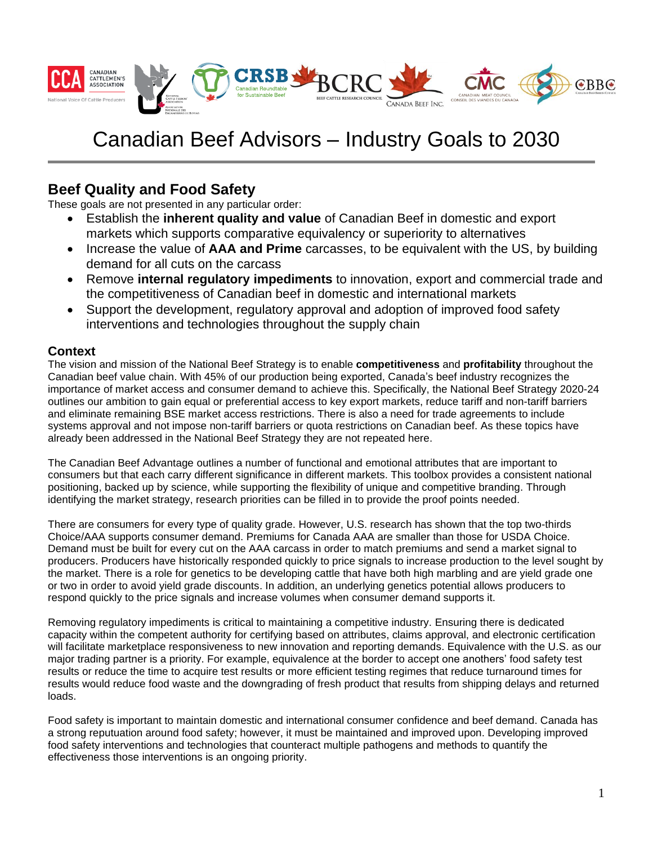

# Canadian Beef Advisors – Industry Goals to 2030

## **Beef Quality and Food Safety**

These goals are not presented in any particular order:

- Establish the **inherent quality and value** of Canadian Beef in domestic and export markets which supports comparative equivalency or superiority to alternatives
- Increase the value of **AAA and Prime** carcasses, to be equivalent with the US, by building demand for all cuts on the carcass
- Remove **internal regulatory impediments** to innovation, export and commercial trade and the competitiveness of Canadian beef in domestic and international markets
- Support the development, regulatory approval and adoption of improved food safety interventions and technologies throughout the supply chain

## **Context**

The vision and mission of the National Beef Strategy is to enable **competitiveness** and **profitability** throughout the Canadian beef value chain. With 45% of our production being exported, Canada's beef industry recognizes the importance of market access and consumer demand to achieve this. Specifically, the National Beef Strategy 2020-24 outlines our ambition to gain equal or preferential access to key export markets, reduce tariff and non-tariff barriers and eliminate remaining BSE market access restrictions. There is also a need for trade agreements to include systems approval and not impose non-tariff barriers or quota restrictions on Canadian beef. As these topics have already been addressed in the National Beef Strategy they are not repeated here.

The Canadian Beef Advantage outlines a number of functional and emotional attributes that are important to consumers but that each carry different significance in different markets. This toolbox provides a consistent national positioning, backed up by science, while supporting the flexibility of unique and competitive branding. Through identifying the market strategy, research priorities can be filled in to provide the proof points needed.

There are consumers for every type of quality grade. However, U.S. research has shown that the top two-thirds Choice/AAA supports consumer demand. Premiums for Canada AAA are smaller than those for USDA Choice. Demand must be built for every cut on the AAA carcass in order to match premiums and send a market signal to producers. Producers have historically responded quickly to price signals to increase production to the level sought by the market. There is a role for genetics to be developing cattle that have both high marbling and are yield grade one or two in order to avoid yield grade discounts. In addition, an underlying genetics potential allows producers to respond quickly to the price signals and increase volumes when consumer demand supports it.

Removing regulatory impediments is critical to maintaining a competitive industry. Ensuring there is dedicated capacity within the competent authority for certifying based on attributes, claims approval, and electronic certification will facilitate marketplace responsiveness to new innovation and reporting demands. Equivalence with the U.S. as our major trading partner is a priority. For example, equivalence at the border to accept one anothers' food safety test results or reduce the time to acquire test results or more efficient testing regimes that reduce turnaround times for results would reduce food waste and the downgrading of fresh product that results from shipping delays and returned loads.

Food safety is important to maintain domestic and international consumer confidence and beef demand. Canada has a strong reputuation around food safety; however, it must be maintained and improved upon. Developing improved food safety interventions and technologies that counteract multiple pathogens and methods to quantify the effectiveness those interventions is an ongoing priority.